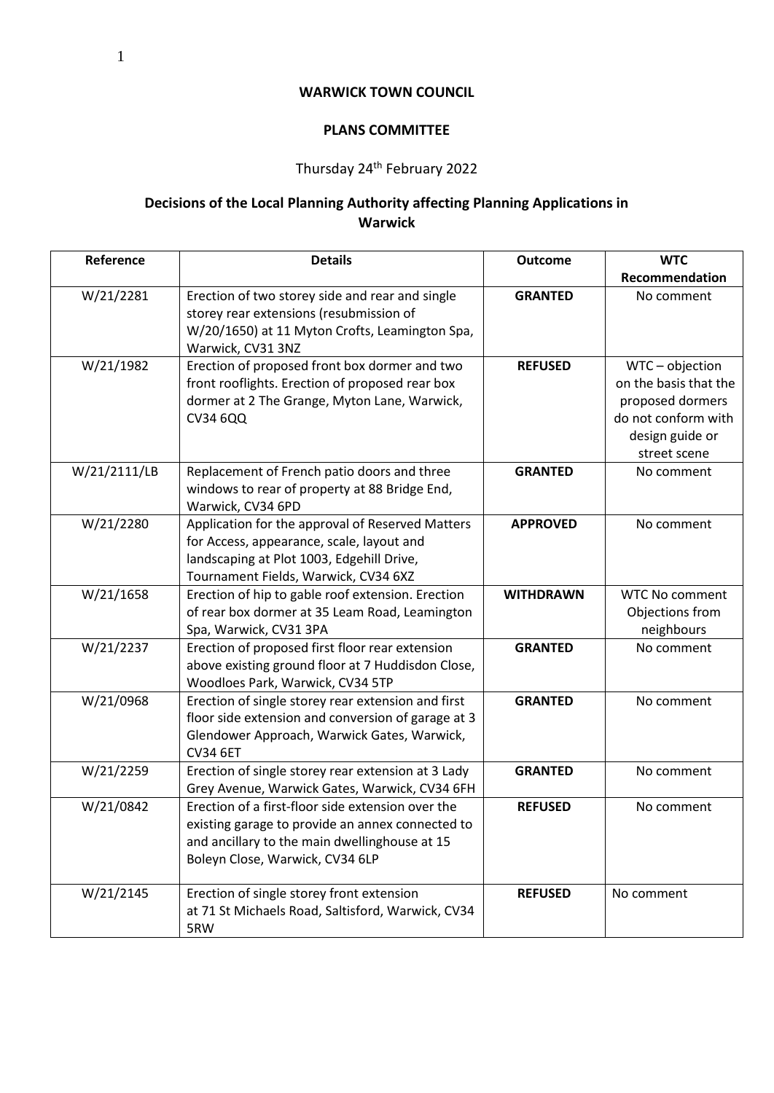## **WARWICK TOWN COUNCIL**

## **PLANS COMMITTEE**

## Thursday 24th February 2022

## **Decisions of the Local Planning Authority affecting Planning Applications in Warwick**

| Reference    | <b>Details</b>                                                                                                                                                                            | <b>Outcome</b>   | <b>WTC</b>                                                                                                           |
|--------------|-------------------------------------------------------------------------------------------------------------------------------------------------------------------------------------------|------------------|----------------------------------------------------------------------------------------------------------------------|
|              |                                                                                                                                                                                           |                  | Recommendation                                                                                                       |
| W/21/2281    | Erection of two storey side and rear and single<br>storey rear extensions (resubmission of<br>W/20/1650) at 11 Myton Crofts, Leamington Spa,<br>Warwick, CV31 3NZ                         | <b>GRANTED</b>   | No comment                                                                                                           |
| W/21/1982    | Erection of proposed front box dormer and two<br>front rooflights. Erection of proposed rear box<br>dormer at 2 The Grange, Myton Lane, Warwick,<br><b>CV34 6QQ</b>                       | <b>REFUSED</b>   | WTC-objection<br>on the basis that the<br>proposed dormers<br>do not conform with<br>design guide or<br>street scene |
| W/21/2111/LB | Replacement of French patio doors and three<br>windows to rear of property at 88 Bridge End,<br>Warwick, CV34 6PD                                                                         | <b>GRANTED</b>   | No comment                                                                                                           |
| W/21/2280    | Application for the approval of Reserved Matters<br>for Access, appearance, scale, layout and<br>landscaping at Plot 1003, Edgehill Drive,<br>Tournament Fields, Warwick, CV34 6XZ        | <b>APPROVED</b>  | No comment                                                                                                           |
| W/21/1658    | Erection of hip to gable roof extension. Erection<br>of rear box dormer at 35 Leam Road, Leamington<br>Spa, Warwick, CV31 3PA                                                             | <b>WITHDRAWN</b> | <b>WTC No comment</b><br>Objections from<br>neighbours                                                               |
| W/21/2237    | Erection of proposed first floor rear extension<br>above existing ground floor at 7 Huddisdon Close,<br>Woodloes Park, Warwick, CV34 5TP                                                  | <b>GRANTED</b>   | No comment                                                                                                           |
| W/21/0968    | Erection of single storey rear extension and first<br>floor side extension and conversion of garage at 3<br>Glendower Approach, Warwick Gates, Warwick,<br><b>CV34 6ET</b>                | <b>GRANTED</b>   | No comment                                                                                                           |
| W/21/2259    | Erection of single storey rear extension at 3 Lady<br>Grey Avenue, Warwick Gates, Warwick, CV34 6FH                                                                                       | <b>GRANTED</b>   | No comment                                                                                                           |
| W/21/0842    | Erection of a first-floor side extension over the<br>existing garage to provide an annex connected to<br>and ancillary to the main dwellinghouse at 15<br>Boleyn Close, Warwick, CV34 6LP | <b>REFUSED</b>   | No comment                                                                                                           |
| W/21/2145    | Erection of single storey front extension<br>at 71 St Michaels Road, Saltisford, Warwick, CV34<br>5RW                                                                                     | <b>REFUSED</b>   | No comment                                                                                                           |